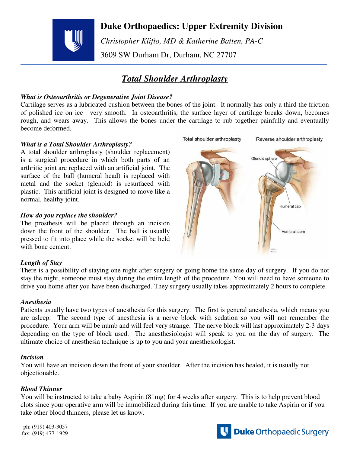

## **Duke Orthopaedics: Upper Extremity Division**

 *Christopher Klifto, MD & Katherine Batten, PA-C*  3609 SW Durham Dr, Durham, NC 27707

# *Total Shoulder Arthroplasty*

### *What is Osteoarthritis or Degenerative Joint Disease?*

Cartilage serves as a lubricated cushion between the bones of the joint. It normally has only a third the friction of polished ice on ice—very smooth. In osteoarthritis, the surface layer of cartilage breaks down, becomes rough, and wears away. This allows the bones under the cartilage to rub together painfully and eventually become deformed.

### *What is a Total Shoulder Arthroplasty?*

A total shoulder arthroplasty (shoulder replacement) is a surgical procedure in which both parts of an arthritic joint are replaced with an artificial joint. The surface of the ball (humeral head) is replaced with metal and the socket (glenoid) is resurfaced with plastic. This artificial joint is designed to move like a normal, healthy joint.

#### *How do you replace the shoulder?*

The prosthesis will be placed through an incision down the front of the shoulder. The ball is usually pressed to fit into place while the socket will be held with bone cement.



### *Length of Stay*

There is a possibility of staying one night after surgery or going home the same day of surgery. If you do not stay the night, someone must stay during the entire length of the procedure. You will need to have someone to drive you home after you have been discharged. They surgery usually takes approximately 2 hours to complete.

#### *Anesthesia*

Patients usually have two types of anesthesia for this surgery. The first is general anesthesia, which means you are asleep. The second type of anesthesia is a nerve block with sedation so you will not remember the procedure. Your arm will be numb and will feel very strange. The nerve block will last approximately 2-3 days depending on the type of block used. The anesthesiologist will speak to you on the day of surgery. The ultimate choice of anesthesia technique is up to you and your anesthesiologist.

#### *Incision*

You will have an incision down the front of your shoulder. After the incision has healed, it is usually not objectionable.

### *Blood Thinner*

You will be instructed to take a baby Aspirin (81mg) for 4 weeks after surgery. This is to help prevent blood clots since your operative arm will be immobilized during this time. If you are unable to take Aspirin or if you take other blood thinners, please let us know.

ph: (919) 403-3057 fax: (919) 477-1929